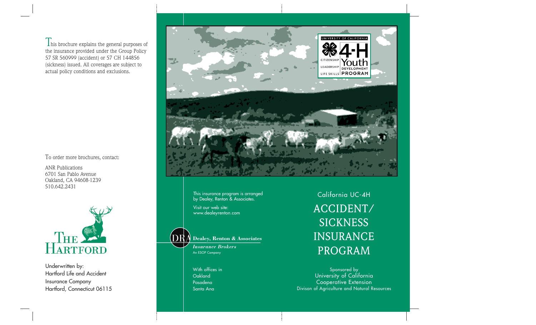$\mathbf I$  his brochure explains the general purposes of the insurance provided under the Group Policy 57 SR 560999 (accident) or 57 CH 144856 (sickness) issued. All coverages are subject to actual policy conditions and exclusions.

To order more brochures, contact:

ANR Publications 6701 San Pablo Avenue Oakland, CA 94608-1239 510.642.2431



Underwritten by: Hartford Life and Accident Insurance Company Hartford, Connecticut 06115



This insurance program is arranged by Dealey, Renton & Associates.

Visit our web site: www.dealeyrenton.com

DRA **Dealey, Renton & Associates**

> *Insurance Brokers* An ESOP Company

With offices in Oakland Pasadena Santa Ana

California UC-4H ACCIDENT/ **SICKNESS** INSURANCE PROGRAM

Sponsored by University of California Cooperative Extension Divison of Agriculture and Natural Resources